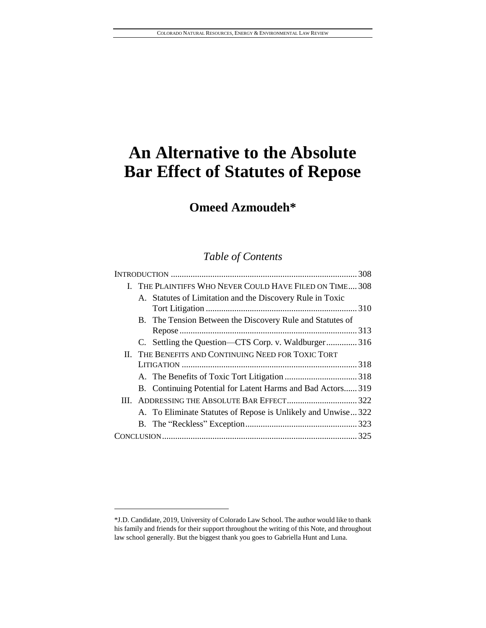# **Omeed Azmoudeh\***

# *Table of Contents*

|  | I. THE PLAINTIFFS WHO NEVER COULD HAVE FILED ON TIME 308 |                                                               |  |
|--|----------------------------------------------------------|---------------------------------------------------------------|--|
|  |                                                          | A. Statutes of Limitation and the Discovery Rule in Toxic     |  |
|  |                                                          |                                                               |  |
|  |                                                          | B. The Tension Between the Discovery Rule and Statutes of     |  |
|  |                                                          |                                                               |  |
|  |                                                          | C. Settling the Question—CTS Corp. v. Waldburger316           |  |
|  | II. THE BENEFITS AND CONTINUING NEED FOR TOXIC TORT      |                                                               |  |
|  |                                                          |                                                               |  |
|  |                                                          |                                                               |  |
|  |                                                          | B. Continuing Potential for Latent Harms and Bad Actors319    |  |
|  |                                                          |                                                               |  |
|  |                                                          | A. To Eliminate Statutes of Repose is Unlikely and Unwise 322 |  |
|  |                                                          |                                                               |  |
|  |                                                          |                                                               |  |
|  |                                                          |                                                               |  |

l

<sup>\*</sup>J.D. Candidate, 2019, University of Colorado Law School. The author would like to thank his family and friends for their support throughout the writing of this Note, and throughout law school generally. But the biggest thank you goes to Gabriella Hunt and Luna.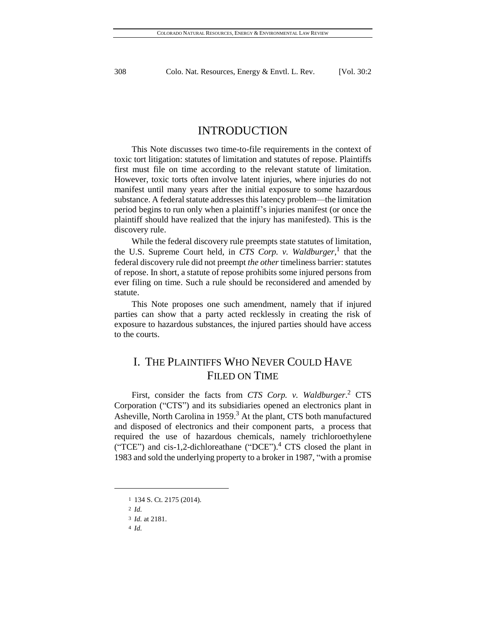# INTRODUCTION

This Note discusses two time-to-file requirements in the context of toxic tort litigation: statutes of limitation and statutes of repose. Plaintiffs first must file on time according to the relevant statute of limitation. However, toxic torts often involve latent injuries, where injuries do not manifest until many years after the initial exposure to some hazardous substance. A federal statute addresses this latency problem—the limitation period begins to run only when a plaintiff's injuries manifest (or once the plaintiff should have realized that the injury has manifested). This is the discovery rule.

While the federal discovery rule preempts state statutes of limitation, the U.S. Supreme Court held, in *CTS Corp. v. Waldburger*, 1 that the federal discovery rule did not preempt *the other* timeliness barrier: statutes of repose. In short, a statute of repose prohibits some injured persons from ever filing on time. Such a rule should be reconsidered and amended by statute.

This Note proposes one such amendment, namely that if injured parties can show that a party acted recklessly in creating the risk of exposure to hazardous substances, the injured parties should have access to the courts.

# I. THE PLAINTIFFS WHO NEVER COULD HAVE FILED ON TIME

First, consider the facts from *CTS Corp. v. Waldburger*. <sup>2</sup> CTS Corporation ("CTS") and its subsidiaries opened an electronics plant in Asheville, North Carolina in 1959.<sup>3</sup> At the plant, CTS both manufactured and disposed of electronics and their component parts, a process that required the use of hazardous chemicals, namely trichloroethylene ("TCE") and cis-1,2-dichloreathane ("DCE"). $^4$  CTS closed the plant in 1983 and sold the underlying property to a broker in 1987, "with a promise

l

<sup>1</sup> 134 S. Ct. 2175 (2014).

<sup>2</sup> *Id.*

<sup>3</sup> *Id.* at 2181.

<sup>4</sup> *Id.*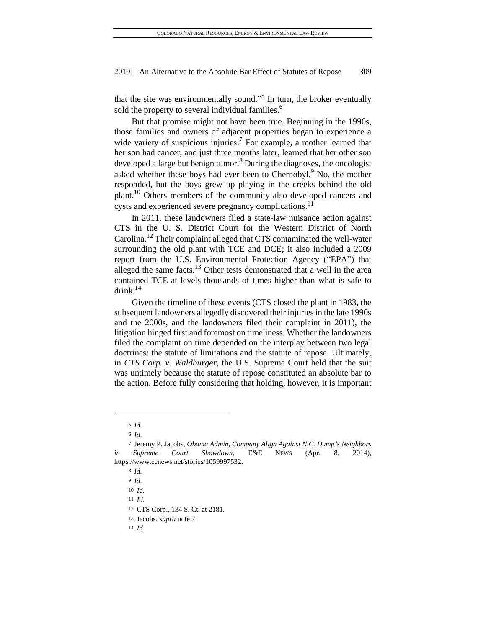that the site was environmentally sound."<sup>5</sup> In turn, the broker eventually sold the property to several individual families.<sup>6</sup>

But that promise might not have been true. Beginning in the 1990s, those families and owners of adjacent properties began to experience a wide variety of suspicious injuries.<sup>7</sup> For example, a mother learned that her son had cancer, and just three months later, learned that her other son developed a large but benign tumor.<sup>8</sup> During the diagnoses, the oncologist asked whether these boys had ever been to Chernobyl.<sup>9</sup> No, the mother responded, but the boys grew up playing in the creeks behind the old plant.<sup>10</sup> Others members of the community also developed cancers and cysts and experienced severe pregnancy complications.<sup>11</sup>

In 2011, these landowners filed a state-law nuisance action against CTS in the U. S. District Court for the Western District of North Carolina.<sup>12</sup> Their complaint alleged that CTS contaminated the well-water surrounding the old plant with TCE and DCE; it also included a 2009 report from the U.S. Environmental Protection Agency ("EPA") that alleged the same facts. $13$  Other tests demonstrated that a well in the area contained TCE at levels thousands of times higher than what is safe to drink.<sup>14</sup>

Given the timeline of these events (CTS closed the plant in 1983, the subsequent landowners allegedly discovered their injuries in the late 1990s and the 2000s, and the landowners filed their complaint in 2011), the litigation hinged first and foremost on timeliness. Whether the landowners filed the complaint on time depended on the interplay between two legal doctrines: the statute of limitations and the statute of repose. Ultimately, in *CTS Corp. v. Waldburger*, the U.S. Supreme Court held that the suit was untimely because the statute of repose constituted an absolute bar to the action. Before fully considering that holding, however, it is important

<sup>5</sup> *Id.*

<sup>6</sup> *Id.*

<sup>7</sup> Jeremy P. Jacobs, *Obama Admin, Company Align Against N.C. Dump's Neighbors in Supreme Court Showdown*, E&E NEWS (Apr. 8, 2014), [https://www.eenews.net/stories/1059997532.](https://www.eenews.net/stories/1059997532)

<sup>8</sup> *Id.*

<sup>9</sup> *Id.*

<sup>10</sup> *Id.*

<sup>11</sup> *Id.*

<sup>12</sup> CTS Corp., 134 S. Ct. at 2181.

<sup>13</sup> Jacobs, *supra* note 7.

<sup>14</sup> *Id.*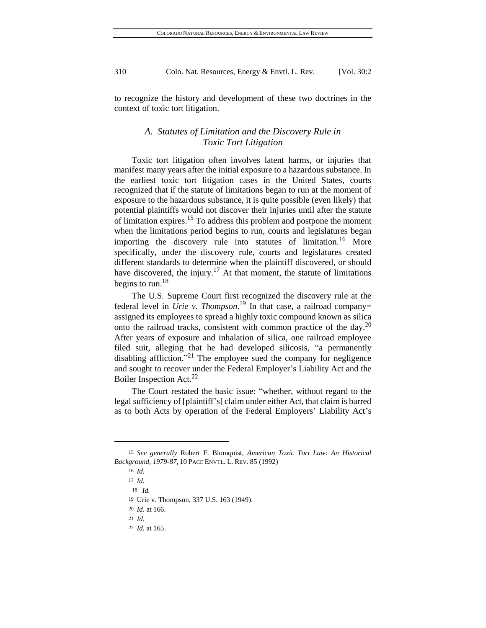to recognize the history and development of these two doctrines in the context of toxic tort litigation.

# *A. Statutes of Limitation and the Discovery Rule in Toxic Tort Litigation*

Toxic tort litigation often involves latent harms, or injuries that manifest many years after the initial exposure to a hazardous substance. In the earliest toxic tort litigation cases in the United States, courts recognized that if the statute of limitations began to run at the moment of exposure to the hazardous substance, it is quite possible (even likely) that potential plaintiffs would not discover their injuries until after the statute of limitation expires.<sup>15</sup> To address this problem and postpone the moment when the limitations period begins to run, courts and legislatures began importing the discovery rule into statutes of limitation.<sup>16</sup> More specifically, under the discovery rule, courts and legislatures created different standards to determine when the plaintiff discovered, or should have discovered, the injury.<sup>17</sup> At that moment, the statute of limitations begins to run.<sup>18</sup>

The U.S. Supreme Court first recognized the discovery rule at the federal level in *Urie v. Thompson*. <sup>19</sup> In that case, a railroad company= assigned its employees to spread a highly toxic compound known as silica onto the railroad tracks, consistent with common practice of the day.<sup>20</sup> After years of exposure and inhalation of silica, one railroad employee filed suit, alleging that he had developed silicosis, "a permanently disabling affliction."<sup>21</sup> The employee sued the company for negligence and sought to recover under the Federal Employer's Liability Act and the Boiler Inspection Act.<sup>22</sup>

The Court restated the basic issue: "whether, without regard to the legal sufficiency of [plaintiff's] claim under either Act, that claim is barred as to both Acts by operation of the Federal Employers' Liability Act's

<sup>15</sup> *See generally* Robert F. Blomquist, *American Toxic Tort Law: An Historical Background, 1979-87*, 10 PACE ENVTL. L. REV. 85 (1992)

<sup>16</sup> *Id.*

<sup>17</sup> *Id.*

18 *Id.*

<sup>19</sup> Urie v. Thompson, 337 U.S. 163 (1949).

<sup>20</sup> *Id.* at 166.

<sup>21</sup> *Id.*

<sup>22</sup> *Id.* at 165.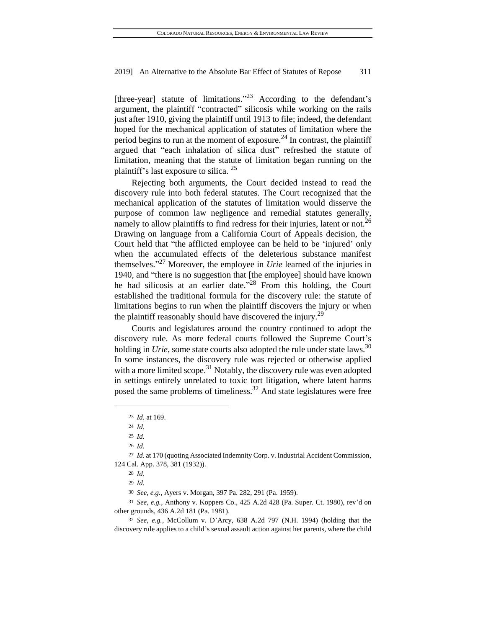[three-year] statute of limitations."<sup>23</sup> According to the defendant's argument, the plaintiff "contracted" silicosis while working on the rails just after 1910, giving the plaintiff until 1913 to file; indeed, the defendant hoped for the mechanical application of statutes of limitation where the period begins to run at the moment of exposure.<sup>24</sup> In contrast, the plaintiff argued that "each inhalation of silica dust" refreshed the statute of limitation, meaning that the statute of limitation began running on the plaintiff's last exposure to silica. <sup>25</sup>

Rejecting both arguments, the Court decided instead to read the discovery rule into both federal statutes. The Court recognized that the mechanical application of the statutes of limitation would disserve the purpose of common law negligence and remedial statutes generally, namely to allow plaintiffs to find redress for their injuries, latent or not.<sup>26</sup> Drawing on language from a California Court of Appeals decision, the Court held that "the afflicted employee can be held to be 'injured' only when the accumulated effects of the deleterious substance manifest themselves." <sup>27</sup> Moreover, the employee in *Urie* learned of the injuries in 1940, and "there is no suggestion that [the employee] should have known he had silicosis at an earlier date.<sup>328</sup> From this holding, the Court established the traditional formula for the discovery rule: the statute of limitations begins to run when the plaintiff discovers the injury or when the plaintiff reasonably should have discovered the injury.<sup>29</sup>

Courts and legislatures around the country continued to adopt the discovery rule. As more federal courts followed the Supreme Court's holding in *Urie*, some state courts also adopted the rule under state laws.<sup>30</sup> In some instances, the discovery rule was rejected or otherwise applied with a more limited scope.<sup>31</sup> Notably, the discovery rule was even adopted in settings entirely unrelated to toxic tort litigation, where latent harms posed the same problems of timeliness.<sup>32</sup> And state legislatures were free

<sup>23</sup> *Id.* at 169.

<sup>24</sup> *Id.*

<sup>25</sup> *Id.*

<sup>26</sup> *Id.*

<sup>27</sup> *Id.* at 170 (quoting Associated Indemnity Corp. v. Industrial Accident Commission, 124 Cal. App. 378, 381 (1932)).

<sup>28</sup> *Id.*

<sup>29</sup> *Id.*

<sup>30</sup> *See, e.g.*, Ayers v. Morgan, 397 Pa. 282, 291 (Pa. 1959).

<sup>31</sup> *See, e.g.*, Anthony v. Koppers Co., 425 A.2d 428 (Pa. Super. Ct. 1980), rev'd on other grounds, 436 A.2d 181 (Pa. 1981).

<sup>32</sup> *See, e.g.*, McCollum v. D'Arcy, 638 A.2d 797 (N.H. 1994) (holding that the discovery rule applies to a child's sexual assault action against her parents, where the child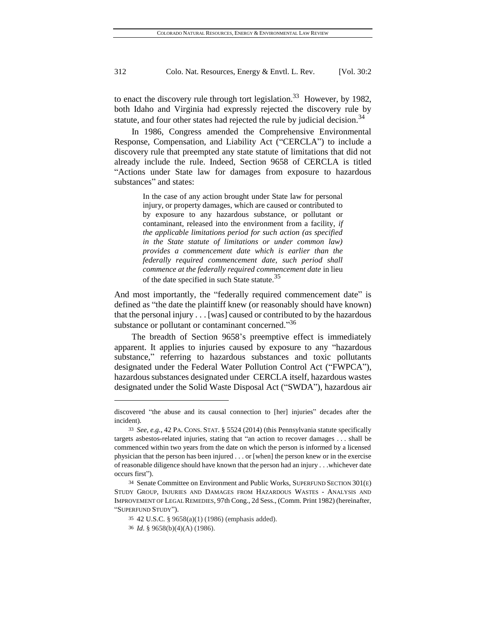to enact the discovery rule through tort legislation.<sup>33</sup> However, by 1982, both Idaho and Virginia had expressly rejected the discovery rule by statute, and four other states had rejected the rule by judicial decision.<sup>34</sup>

In 1986, Congress amended the Comprehensive Environmental Response, Compensation, and Liability Act ("CERCLA") to include a discovery rule that preempted any state statute of limitations that did not already include the rule. Indeed, Section 9658 of CERCLA is titled "Actions under State law for damages from exposure to hazardous substances" and states:

> In the case of any action brought under State law for personal injury, or property damages, which are caused or contributed to by exposure to any hazardous substance, or pollutant or contaminant, released into the environment from a facility, *if the applicable limitations period for such action (as specified in the State statute of limitations or under common law) provides a commencement date which is earlier than the federally required commencement date, such period shall commence at the federally required commencement date* in lieu of the date specified in such State statute.<sup>35</sup>

And most importantly, the "federally required commencement date" is defined as "the date the plaintiff knew (or reasonably should have known) that the personal injury . . . [was] caused or contributed to by the hazardous substance or pollutant or contaminant concerned."<sup>36</sup>

The breadth of Section 9658's preemptive effect is immediately apparent. It applies to injuries caused by exposure to any "hazardous substance," referring to hazardous substances and toxic pollutants designated under the Federal Water Pollution Control Act ("FWPCA"), hazardous substances designated under CERCLA itself, hazardous wastes designated under the Solid Waste Disposal Act ("SWDA"), hazardous air

discovered "the abuse and its causal connection to [her] injuries" decades after the incident).

<sup>33</sup> *See, e.g.*, 42 PA. CONS. STAT. § 5524 (2014) (this Pennsylvania statute specifically targets asbestos-related injuries, stating that "an action to recover damages . . . shall be commenced within two years from the date on which the person is informed by a licensed physician that the person has been injured . . . or [when] the person knew or in the exercise of reasonable diligence should have known that the person had an injury . . .whichever date occurs first").

<sup>34</sup> Senate Committee on Environment and Public Works, SUPERFUND SECTION 301(E) STUDY GROUP, INJURIES AND DAMAGES FROM HAZARDOUS WASTES - ANALYSIS AND IMPROVEMENT OF LEGAL REMEDIES, 97th Cong., 2d Sess., (Comm. Print 1982) (hereinafter, "SUPERFUND STUDY").

<sup>35</sup> 42 U.S.C. § 9658(a)(1) (1986) (emphasis added).

<sup>36</sup> *Id*. § 9658(b)(4)(A) (1986).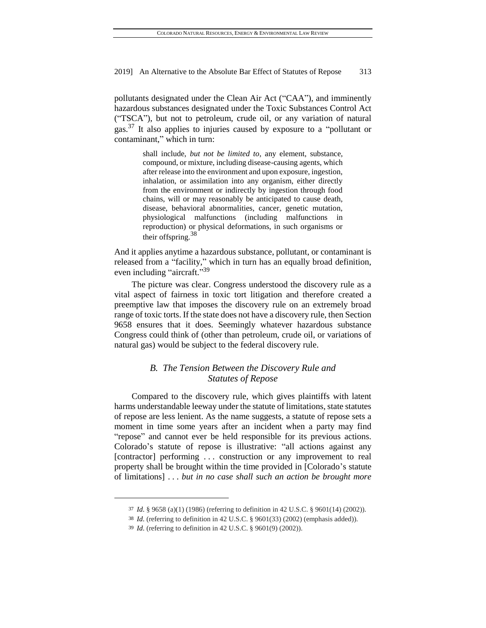pollutants designated under the Clean Air Act ("CAA"), and imminently hazardous substances designated under the Toxic Substances Control Act ("TSCA"), but not to petroleum, crude oil, or any variation of natural gas.<sup>37</sup> It also applies to injuries caused by exposure to a "pollutant or contaminant," which in turn:

> shall include, *but not be limited to*, any element, substance, compound, or mixture, including disease-causing agents, which after release into the environment and upon exposure, ingestion, inhalation, or assimilation into any organism, either directly from the environment or indirectly by ingestion through food chains, will or may reasonably be anticipated to cause death, disease, behavioral abnormalities, cancer, genetic mutation, physiological malfunctions (including malfunctions in reproduction) or physical deformations, in such organisms or their offspring.<sup>38</sup>

And it applies anytime a hazardous substance, pollutant, or contaminant is released from a "facility," which in turn has an equally broad definition, even including "aircraft."<sup>39</sup>

The picture was clear. Congress understood the discovery rule as a vital aspect of fairness in toxic tort litigation and therefore created a preemptive law that imposes the discovery rule on an extremely broad range of toxic torts. If the state does not have a discovery rule, then Section 9658 ensures that it does. Seemingly whatever hazardous substance Congress could think of (other than petroleum, crude oil, or variations of natural gas) would be subject to the federal discovery rule.

# *B. The Tension Between the Discovery Rule and Statutes of Repose*

Compared to the discovery rule, which gives plaintiffs with latent harms understandable leeway under the statute of limitations, state statutes of repose are less lenient. As the name suggests, a statute of repose sets a moment in time some years after an incident when a party may find "repose" and cannot ever be held responsible for its previous actions. Colorado's statute of repose is illustrative: "all actions against any [contractor] performing . . . construction or any improvement to real property shall be brought within the time provided in [Colorado's statute of limitations] . . . *but in no case shall such an action be brought more* 

l

<sup>37</sup> *Id*. § 9658 (a)(1) (1986) (referring to definition in 42 U.S.C. § 9601(14) (2002)).

<sup>38</sup> *Id*. (referring to definition in 42 U.S.C. § 9601(33) (2002) (emphasis added)).

<sup>39</sup> *Id*. (referring to definition in 42 U.S.C. § 9601(9) (2002)).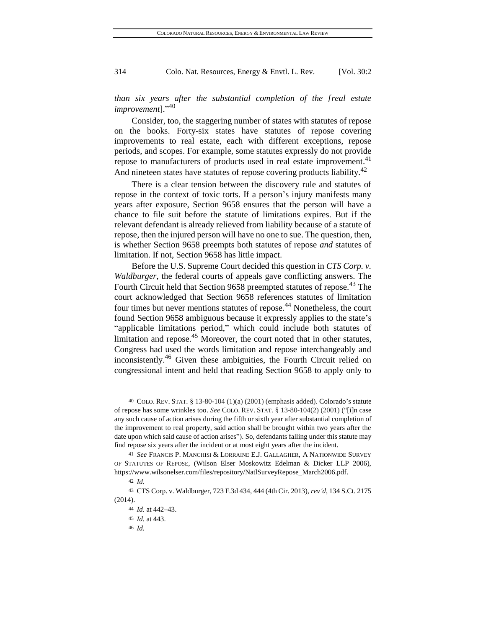*than six years after the substantial completion of the [real estate improvement*]." 40

Consider, too, the staggering number of states with statutes of repose on the books. Forty-six states have statutes of repose covering improvements to real estate, each with different exceptions, repose periods, and scopes. For example, some statutes expressly do not provide repose to manufacturers of products used in real estate improvement.<sup>41</sup> And nineteen states have statutes of repose covering products liability.<sup>42</sup>

There is a clear tension between the discovery rule and statutes of repose in the context of toxic torts. If a person's injury manifests many years after exposure, Section 9658 ensures that the person will have a chance to file suit before the statute of limitations expires. But if the relevant defendant is already relieved from liability because of a statute of repose, then the injured person will have no one to sue. The question, then, is whether Section 9658 preempts both statutes of repose *and* statutes of limitation. If not, Section 9658 has little impact.

Before the U.S. Supreme Court decided this question in *CTS Corp. v. Waldburger*, the federal courts of appeals gave conflicting answers. The Fourth Circuit held that Section 9658 preempted statutes of repose.<sup>43</sup> The court acknowledged that Section 9658 references statutes of limitation four times but never mentions statutes of repose.<sup>44</sup> Nonetheless, the court found Section 9658 ambiguous because it expressly applies to the state's "applicable limitations period," which could include both statutes of limitation and repose. $45$  Moreover, the court noted that in other statutes, Congress had used the words limitation and repose interchangeably and inconsistently.<sup>46</sup> Given these ambiguities, the Fourth Circuit relied on congressional intent and held that reading Section 9658 to apply only to

<sup>40</sup> COLO. REV. STAT. § 13-80-104 (1)(a) (2001) (emphasis added). Colorado's statute of repose has some wrinkles too. *See* COLO. REV. STAT. § 13-80-104(2) (2001) ("[i]n case any such cause of action arises during the fifth or sixth year after substantial completion of the improvement to real property, said action shall be brought within two years after the date upon which said cause of action arises"). So, defendants falling under this statute may find repose six years after the incident or at most eight years after the incident.

<sup>41</sup> *See* FRANCIS P. MANCHISI & LORRAINE E.J. GALLAGHER, A NATIONWIDE SURVEY OF STATUTES OF REPOSE, (Wilson Elser Moskowitz Edelman & Dicker LLP 2006), [https://www.wilsonelser.com/files/repository/NatlSurveyRepose\\_March2006.pdf.](https://www.wilsonelser.com/files/repository/NatlSurveyRepose_March2006.pdf)

<sup>42</sup> *Id.*

<sup>43</sup> CTS Corp. v. Waldburger, 723 F.3d 434, 444 (4th Cir. 2013), *rev'd*, 134 S.Ct. 2175 (2014).

<sup>44</sup> *Id.* at 442–43.

<sup>45</sup> *Id.* at 443.

<sup>46</sup> *Id.*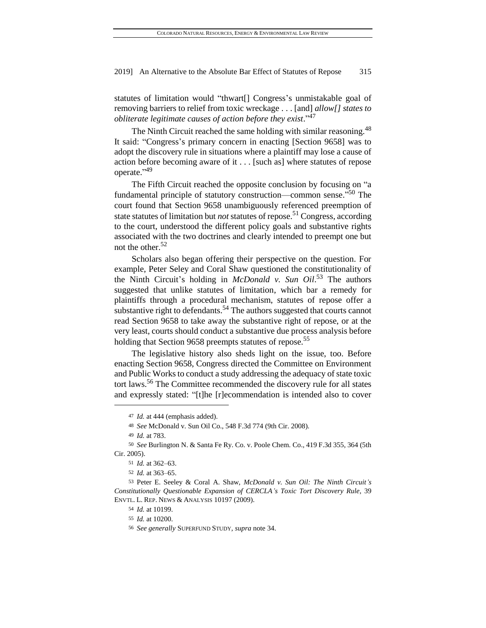statutes of limitation would "thwart[] Congress's unmistakable goal of removing barriers to relief from toxic wreckage . . . [and] *allow[] states to obliterate legitimate causes of action before they exist*." 47

The Ninth Circuit reached the same holding with similar reasoning.<sup>48</sup> It said: "Congress's primary concern in enacting [Section 9658] was to adopt the discovery rule in situations where a plaintiff may lose a cause of action before becoming aware of it . . . [such as] where statutes of repose operate."<sup>49</sup>

The Fifth Circuit reached the opposite conclusion by focusing on "a fundamental principle of statutory construction—common sense."<sup>50</sup> The court found that Section 9658 unambiguously referenced preemption of state statutes of limitation but *not* statutes of repose.<sup>51</sup> Congress, according to the court, understood the different policy goals and substantive rights associated with the two doctrines and clearly intended to preempt one but not the other.<sup>52</sup>

Scholars also began offering their perspective on the question. For example, Peter Seley and Coral Shaw questioned the constitutionality of the Ninth Circuit's holding in *McDonald v. Sun Oil*. <sup>53</sup> The authors suggested that unlike statutes of limitation, which bar a remedy for plaintiffs through a procedural mechanism, statutes of repose offer a substantive right to defendants.<sup>54</sup> The authors suggested that courts cannot read Section 9658 to take away the substantive right of repose, or at the very least, courts should conduct a substantive due process analysis before holding that Section 9658 preempts statutes of repose.<sup>55</sup>

The legislative history also sheds light on the issue, too. Before enacting Section 9658, Congress directed the Committee on Environment and Public Works to conduct a study addressing the adequacy of state toxic tort laws.<sup>56</sup> The Committee recommended the discovery rule for all states and expressly stated: "[t]he [r]ecommendation is intended also to cover

<sup>47</sup> *Id.* at 444 (emphasis added).

<sup>48</sup> *See* McDonald v. Sun Oil Co., 548 F.3d 774 (9th Cir. 2008).

<sup>49</sup> *Id.* at 783.

<sup>50</sup> *See* Burlington N. & Santa Fe Ry. Co. v. Poole Chem. Co., 419 F.3d 355, 364 (5th Cir. 2005).

<sup>51</sup> *Id.* at 362–63.

<sup>52</sup> *Id.* at 363–65.

<sup>53</sup> Peter E. Seeley & Coral A. Shaw, *McDonald v. Sun Oil: The Ninth Circuit's Constitutionally Questionable Expansion of CERCLA's Toxic Tort Discovery Rule*, 39 ENVTL. L. REP. NEWS & ANALYSIS 10197 (2009).

<sup>54</sup> *Id.* at 10199.

<sup>55</sup> *Id.* at 10200.

<sup>56</sup> *See generally* SUPERFUND STUDY*, supra* note 34.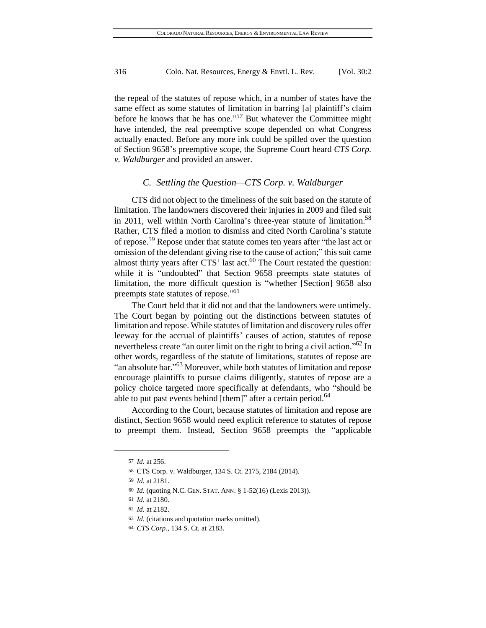the repeal of the statutes of repose which, in a number of states have the same effect as some statutes of limitation in barring [a] plaintiff's claim before he knows that he has one."<sup>57</sup> But whatever the Committee might have intended, the real preemptive scope depended on what Congress actually enacted. Before any more ink could be spilled over the question of Section 9658's preemptive scope, the Supreme Court heard *CTS Corp. v. Waldburger* and provided an answer.

### *C. Settling the Question—CTS Corp. v. Waldburger*

CTS did not object to the timeliness of the suit based on the statute of limitation. The landowners discovered their injuries in 2009 and filed suit in 2011, well within North Carolina's three-year statute of limitation. 58 Rather, CTS filed a motion to dismiss and cited North Carolina's statute of repose.<sup>59</sup> Repose under that statute comes ten years after "the last act or omission of the defendant giving rise to the cause of action;" this suit came almost thirty years after  $CTS'$  last act.<sup>60</sup> The Court restated the question: while it is "undoubted" that Section 9658 preempts state statutes of limitation, the more difficult question is "whether [Section] 9658 also preempts state statutes of repose."<sup>61</sup>

The Court held that it did not and that the landowners were untimely. The Court began by pointing out the distinctions between statutes of limitation and repose. While statutes of limitation and discovery rules offer leeway for the accrual of plaintiffs' causes of action, statutes of repose nevertheless create "an outer limit on the right to bring a civil action." $\frac{62}{10}$  In other words, regardless of the statute of limitations, statutes of repose are "an absolute bar."<sup>63</sup> Moreover, while both statutes of limitation and repose encourage plaintiffs to pursue claims diligently, statutes of repose are a policy choice targeted more specifically at defendants, who "should be able to put past events behind [them]" after a certain period. $64$ 

According to the Court, because statutes of limitation and repose are distinct, Section 9658 would need explicit reference to statutes of repose to preempt them. Instead, Section 9658 preempts the "applicable

<sup>57</sup> *Id.* at 256.

<sup>58</sup> CTS Corp. v. Waldburger, 134 S. Ct. 2175, 2184 (2014).

<sup>59</sup> *Id.* at 2181.

<sup>60</sup> *Id.* (quoting N.C. GEN. STAT. ANN. § 1-52(16) (Lexis 2013)).

<sup>61</sup> *Id.* at 2180.

<sup>62</sup> *Id.* at 2182.

<sup>63</sup> *Id.* (citations and quotation marks omitted).

<sup>64</sup> *CTS Corp.*, 134 S. Ct. at 2183.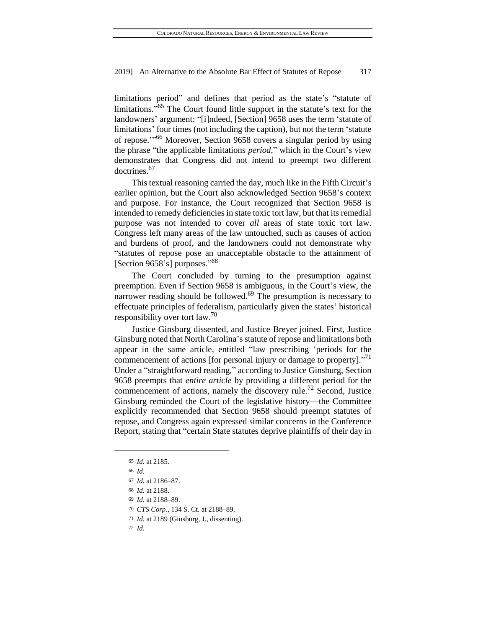limitations period" and defines that period as the state's "statute of limitations."<sup>65</sup> The Court found little support in the statute's text for the landowners' argument: "[i]ndeed, [Section] 9658 uses the term 'statute of limitations' four times (not including the caption), but not the term 'statute of repose.'" <sup>66</sup> Moreover, Section 9658 covers a singular period by using the phrase "the applicable limitations *period*," which in the Court's view demonstrates that Congress did not intend to preempt two different doctrines.<sup>67</sup>

This textual reasoning carried the day, much like in the Fifth Circuit's earlier opinion, but the Court also acknowledged Section 9658's context and purpose. For instance, the Court recognized that Section 9658 is intended to remedy deficiencies in state toxic tort law, but that its remedial purpose was not intended to cover *all* areas of state toxic tort law. Congress left many areas of the law untouched, such as causes of action and burdens of proof, and the landowners could not demonstrate why "statutes of repose pose an unacceptable obstacle to the attainment of [Section 9658's] purposes."<sup>68</sup>

The Court concluded by turning to the presumption against preemption. Even if Section 9658 is ambiguous, in the Court's view, the narrower reading should be followed.<sup>69</sup> The presumption is necessary to effectuate principles of federalism, particularly given the states' historical responsibility over tort law.<sup>70</sup>

Justice Ginsburg dissented, and Justice Breyer joined. First, Justice Ginsburg noted that North Carolina's statute of repose and limitations both appear in the same article, entitled "law prescribing 'periods for the commencement of actions [for personal injury or damage to property]."<sup>71</sup> Under a "straightforward reading," according to Justice Ginsburg, Section 9658 preempts that *entire article* by providing a different period for the commencement of actions, namely the discovery rule.<sup>72</sup> Second, Justice Ginsburg reminded the Court of the legislative history—the Committee explicitly recommended that Section 9658 should preempt statutes of repose, and Congress again expressed similar concerns in the Conference Report, stating that "certain State statutes deprive plaintiffs of their day in

<sup>65</sup> *Id.* at 2185.

<sup>66</sup> *Id.*

<sup>67</sup> *Id.* at 2186–87.

<sup>68</sup> *Id.* at 2188.

<sup>69</sup> *Id.* at 2188–89.

<sup>70</sup> *CTS Corp.*, 134 S. Ct. at 2188–89.

<sup>71</sup> *Id.* at 2189 (Ginsburg, J., dissenting).

<sup>72</sup> *Id.*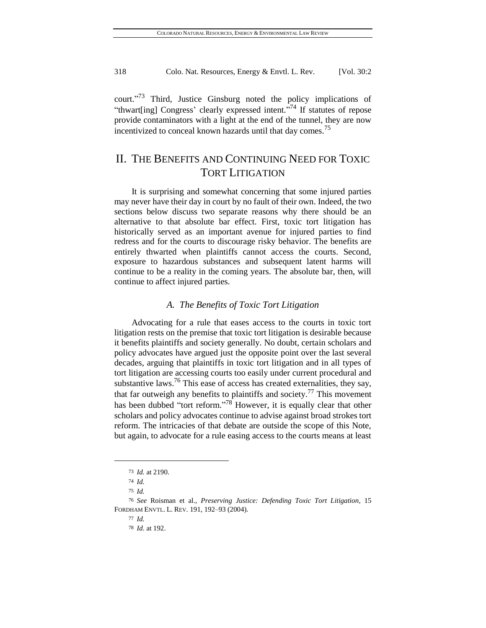court."<sup>73</sup> Third, Justice Ginsburg noted the policy implications of "thwart[ing] Congress' clearly expressed intent."<sup>74</sup> If statutes of repose provide contaminators with a light at the end of the tunnel, they are now incentivized to conceal known hazards until that day comes.<sup>75</sup>

# II. THE BENEFITS AND CONTINUING NEED FOR TOXIC TORT LITIGATION

It is surprising and somewhat concerning that some injured parties may never have their day in court by no fault of their own. Indeed, the two sections below discuss two separate reasons why there should be an alternative to that absolute bar effect. First, toxic tort litigation has historically served as an important avenue for injured parties to find redress and for the courts to discourage risky behavior. The benefits are entirely thwarted when plaintiffs cannot access the courts. Second, exposure to hazardous substances and subsequent latent harms will continue to be a reality in the coming years. The absolute bar, then, will continue to affect injured parties.

# *A. The Benefits of Toxic Tort Litigation*

Advocating for a rule that eases access to the courts in toxic tort litigation rests on the premise that toxic tort litigation is desirable because it benefits plaintiffs and society generally. No doubt, certain scholars and policy advocates have argued just the opposite point over the last several decades, arguing that plaintiffs in toxic tort litigation and in all types of tort litigation are accessing courts too easily under current procedural and substantive laws.<sup>76</sup> This ease of access has created externalities, they say, that far outweigh any benefits to plaintiffs and society.<sup>77</sup> This movement has been dubbed "tort reform."<sup>78</sup> However, it is equally clear that other scholars and policy advocates continue to advise against broad strokes tort reform. The intricacies of that debate are outside the scope of this Note, but again, to advocate for a rule easing access to the courts means at least

<sup>73</sup> *Id.* at 2190.

<sup>74</sup> *Id.*

<sup>75</sup> *Id.*

<sup>76</sup> *See* Roisman et al., *Preserving Justice: Defending Toxic Tort Litigation,* 15 FORDHAM ENVTL. L. REV. 191, 192–93 (2004).

<sup>77</sup> *Id.*

<sup>78</sup> *Id*. at 192.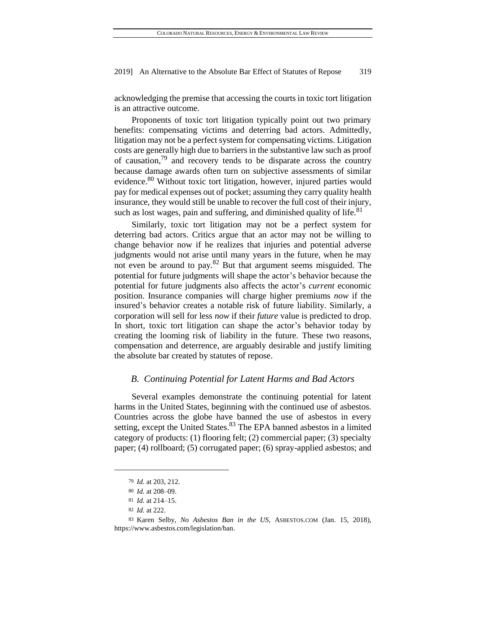acknowledging the premise that accessing the courts in toxic tort litigation is an attractive outcome.

Proponents of toxic tort litigation typically point out two primary benefits: compensating victims and deterring bad actors. Admittedly, litigation may not be a perfect system for compensating victims. Litigation costs are generally high due to barriers in the substantive law such as proof of causation,<sup>79</sup> and recovery tends to be disparate across the country because damage awards often turn on subjective assessments of similar evidence.<sup>80</sup> Without toxic tort litigation, however, injured parties would pay for medical expenses out of pocket; assuming they carry quality health insurance, they would still be unable to recover the full cost of their injury, such as lost wages, pain and suffering, and diminished quality of life.<sup>81</sup>

Similarly, toxic tort litigation may not be a perfect system for deterring bad actors. Critics argue that an actor may not be willing to change behavior now if he realizes that injuries and potential adverse judgments would not arise until many years in the future, when he may not even be around to pay. $82$  But that argument seems misguided. The potential for future judgments will shape the actor's behavior because the potential for future judgments also affects the actor's *current* economic position. Insurance companies will charge higher premiums *now* if the insured's behavior creates a notable risk of future liability. Similarly, a corporation will sell for less *now* if their *future* value is predicted to drop. In short, toxic tort litigation can shape the actor's behavior today by creating the looming risk of liability in the future. These two reasons, compensation and deterrence, are arguably desirable and justify limiting the absolute bar created by statutes of repose.

### *B. Continuing Potential for Latent Harms and Bad Actors*

Several examples demonstrate the continuing potential for latent harms in the United States, beginning with the continued use of asbestos. Countries across the globe have banned the use of asbestos in every setting, except the United States.<sup>83</sup> The EPA banned asbestos in a limited category of products: (1) flooring felt; (2) commercial paper; (3) specialty paper; (4) rollboard; (5) corrugated paper; (6) spray-applied asbestos; and

<sup>79</sup> *Id.* at 203, 212.

<sup>80</sup> *Id.* at 208–09.

<sup>81</sup> *Id.* at 214–15.

<sup>82</sup> *Id.* at 222.

<sup>83</sup> Karen Selby, *No Asbestos Ban in the US*, ASBESTOS.COM (Jan. 15, 2018), [https://www.asbestos.com/legislation/ban.](https://www.asbestos.com/legislation/ban)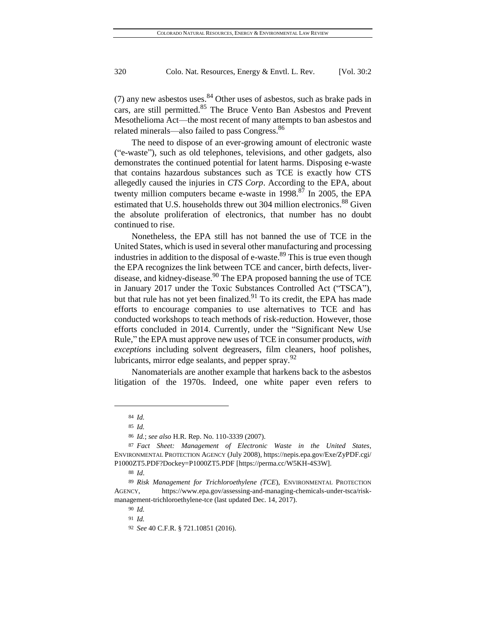(7) any new asbestos uses.  $84$  Other uses of asbestos, such as brake pads in cars, are still permitted.<sup>85</sup> The Bruce Vento Ban Asbestos and Prevent Mesothelioma Act—the most recent of many attempts to ban asbestos and related minerals—also failed to pass Congress.<sup>86</sup>

The need to dispose of an ever-growing amount of electronic waste ("e-waste"), such as old telephones, televisions, and other gadgets, also demonstrates the continued potential for latent harms. Disposing e-waste that contains hazardous substances such as TCE is exactly how CTS allegedly caused the injuries in *CTS Corp*. According to the EPA, about twenty million computers became e-waste in 1998.<sup>87</sup> In 2005, the EPA estimated that U.S. households threw out 304 million electronics.<sup>88</sup> Given the absolute proliferation of electronics, that number has no doubt continued to rise.

Nonetheless, the EPA still has not banned the use of TCE in the United States, which is used in several other manufacturing and processing industries in addition to the disposal of e-waste.<sup>89</sup> This is true even though the EPA recognizes the link between TCE and cancer, birth defects, liverdisease, and kidney-disease.<sup>90</sup> The EPA proposed banning the use of TCE in January 2017 under the Toxic Substances Controlled Act ("TSCA"), but that rule has not yet been finalized. $91$  To its credit, the EPA has made efforts to encourage companies to use alternatives to TCE and has conducted workshops to teach methods of risk-reduction. However, those efforts concluded in 2014. Currently, under the "Significant New Use Rule," the EPA must approve new uses of TCE in consumer products, *with exceptions* including solvent degreasers, film cleaners, hoof polishes, lubricants, mirror edge sealants, and pepper spray.<sup>92</sup>

Nanomaterials are another example that harkens back to the asbestos litigation of the 1970s. Indeed, one white paper even refers to

<sup>84</sup> *Id.*

<sup>85</sup> *Id.*

<sup>86</sup> *Id.*; *see also* H.R. Rep. No. 110-3339 (2007).

<sup>87</sup> *Fact Sheet: Management of Electronic Waste in the United States*, ENVIRONMENTAL PROTECTION AGENCY (July 2008)[, https://nepis.epa.gov/Exe/ZyPDF.cgi/](https://nepis.epa.gov/Exe/ZyPDF.cgi/P1000ZT5.PDF?Dockey=P1000ZT5.PDF) [P1000ZT5.PDF?Dockey=P1000ZT5.PDF](https://nepis.epa.gov/Exe/ZyPDF.cgi/P1000ZT5.PDF?Dockey=P1000ZT5.PDF) [\[https://perma.cc/W5KH-4S3W\]](https://perma.cc/W5KH-4S3W).

<sup>88</sup> *Id*.

<sup>89</sup> *Risk Management for Trichloroethylene (TCE*), ENVIRONMENTAL PROTECTION AGENCY, [https://www.epa.gov/assessing-and-managing-chemicals-under-tsca/risk](https://www.epa.gov/assessing-and-managing-chemicals-under-tsca/risk-management-trichloroethylene-tce)[management-trichloroethylene-tce](https://www.epa.gov/assessing-and-managing-chemicals-under-tsca/risk-management-trichloroethylene-tce) (last updated Dec. 14, 2017).

<sup>90</sup> *Id.*

<sup>91</sup> *Id.*

<sup>92</sup> *See* 40 C.F.R. § 721.10851 (2016).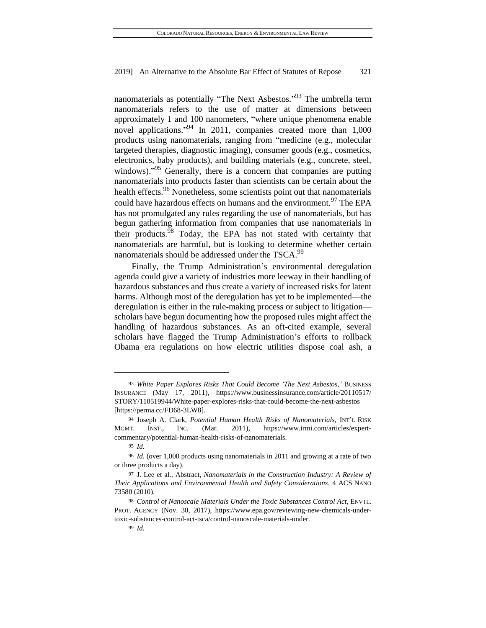nanomaterials as potentially "The Next Asbestos."<sup>93</sup> The umbrella term nanomaterials refers to the use of matter at dimensions between approximately 1 and 100 nanometers, "where unique phenomena enable novel applications." <sup>94</sup> In 2011, companies created more than 1,000 products using nanomaterials, ranging from "medicine (e.g., molecular targeted therapies, diagnostic imaging), consumer goods (e.g., cosmetics, electronics, baby products), and building materials (e.g., concrete, steel, windows)."<sup>95</sup> Generally, there is a concern that companies are putting nanomaterials into products faster than scientists can be certain about the health effects.<sup>96</sup> Nonetheless, some scientists point out that nanomaterials could have hazardous effects on humans and the environment.<sup>97</sup> The EPA has not promulgated any rules regarding the use of nanomaterials, but has begun gathering information from companies that use nanomaterials in their products.<sup>98</sup> Today, the EPA has not stated with certainty that nanomaterials are harmful, but is looking to determine whether certain nanomaterials should be addressed under the TSCA.<sup>99</sup>

Finally, the Trump Administration's environmental deregulation agenda could give a variety of industries more leeway in their handling of hazardous substances and thus create a variety of increased risks for latent harms. Although most of the deregulation has yet to be implemented—the deregulation is either in the rule-making process or subject to litigation scholars have begun documenting how the proposed rules might affect the handling of hazardous substances. As an oft-cited example, several scholars have flagged the Trump Administration's efforts to rollback Obama era regulations on how electric utilities dispose coal ash, a

<sup>93</sup> *White Paper Explores Risks That Could Become 'The Next Asbestos*,*'* BUSINESS INSURANCE (May 17, 2011), [https://www.businessinsurance.com/article/20110517/](https://www.businessinsurance.com/article/20110517/STORY/110519944/White-paper-explores-risks-that-could-become-the-next-asbestos—)  [STORY/110519944/White-paper-explores-risks-that-could-become-the-next-asbestos](https://www.businessinsurance.com/article/20110517/STORY/110519944/White-paper-explores-risks-that-could-become-the-next-asbestos—) [\[https://perma.cc/FD68-3LW8\]](https://perma.cc/FD68-3LW8).

<sup>94</sup> Joseph A. Clark, *Potential Human Health Risks of Nanomaterials*, INT'L RISK MGMT. INST., INC. (Mar. 2011), [https://www.irmi.com/articles/expert](https://www.irmi.com/articles/expert-commentary/potential-human-health-risks-of-nanomaterials)[commentary/potential-human-health-risks-of-nanomaterials.](https://www.irmi.com/articles/expert-commentary/potential-human-health-risks-of-nanomaterials)

<sup>95</sup> *Id.*

<sup>96</sup> *Id.* (over 1,000 products using nanomaterials in 2011 and growing at a rate of two or three products a day).

<sup>97</sup> J. Lee et al., Abstract, *Nanomaterials in the Construction Industry: A Review of Their Applications and Environmental Health and Safety Considerations*, 4 ACS NANO 73580 (2010).

<sup>98</sup> *Control of Nanoscale Materials Under the Toxic Substances Control Act*, ENVTL. PROT. AGENCY (Nov. 30, 2017), [https://www.epa.gov/reviewing-new-chemicals-under](https://www.epa.gov/reviewing-new-chemicals-under-toxic-substances-control-act-tsca/control-nanoscale-materials-under)[toxic-substances-control-act-tsca/control-nanoscale-materials-under.](https://www.epa.gov/reviewing-new-chemicals-under-toxic-substances-control-act-tsca/control-nanoscale-materials-under)

<sup>99</sup> *Id.*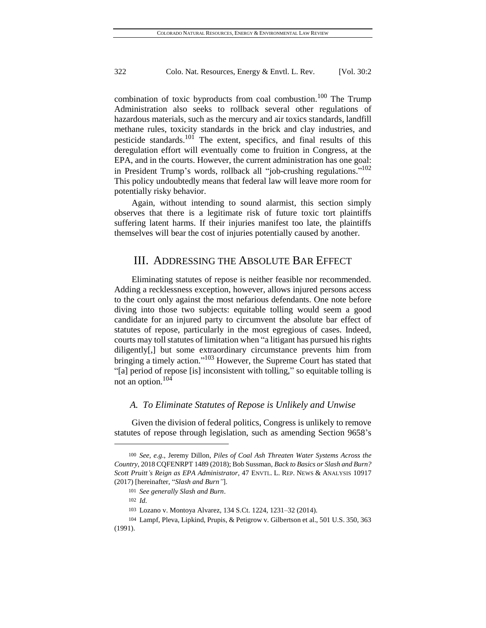combination of toxic byproducts from coal combustion.<sup>100</sup> The Trump Administration also seeks to rollback several other regulations of hazardous materials, such as the mercury and air toxics standards, landfill methane rules, toxicity standards in the brick and clay industries, and pesticide standards.<sup>101</sup> The extent, specifics, and final results of this deregulation effort will eventually come to fruition in Congress, at the EPA, and in the courts. However, the current administration has one goal: in President Trump's words, rollback all "job-crushing regulations."<sup>102</sup> This policy undoubtedly means that federal law will leave more room for potentially risky behavior.

Again, without intending to sound alarmist, this section simply observes that there is a legitimate risk of future toxic tort plaintiffs suffering latent harms. If their injuries manifest too late, the plaintiffs themselves will bear the cost of injuries potentially caused by another.

# III. ADDRESSING THE ABSOLUTE BAR EFFECT

Eliminating statutes of repose is neither feasible nor recommended. Adding a recklessness exception, however, allows injured persons access to the court only against the most nefarious defendants. One note before diving into those two subjects: equitable tolling would seem a good candidate for an injured party to circumvent the absolute bar effect of statutes of repose, particularly in the most egregious of cases. Indeed, courts may toll statutes of limitation when "a litigant has pursued his rights diligently[,] but some extraordinary circumstance prevents him from bringing a timely action."<sup>103</sup> However, the Supreme Court has stated that "[a] period of repose [is] inconsistent with tolling," so equitable tolling is not an option.<sup>104</sup>

#### *A. To Eliminate Statutes of Repose is Unlikely and Unwise*

Given the division of federal politics, Congress is unlikely to remove statutes of repose through legislation, such as amending Section 9658's

<sup>100</sup> *See, e.g.*, Jeremy Dillon, *Piles of Coal Ash Threaten Water Systems Across the Country*, 2018 CQFENRPT 1489 (2018); Bob Sussman, *Back to Basics or Slash and Burn? Scott Pruitt's Reign as EPA Administrator*, 47 ENVTL. L. REP. NEWS & ANALYSIS 10917 (2017) [hereinafter, "*Slash and Burn"*].

<sup>101</sup> *See generally Slash and Burn*.

<sup>102</sup> *Id.*

<sup>103</sup> Lozano v. Montoya Alvarez, 134 S.Ct. 1224, 1231–32 (2014).

<sup>104</sup> Lampf, Pleva, Lipkind, Prupis, & Petigrow v. Gilbertson et al., 501 U.S. 350, 363 (1991).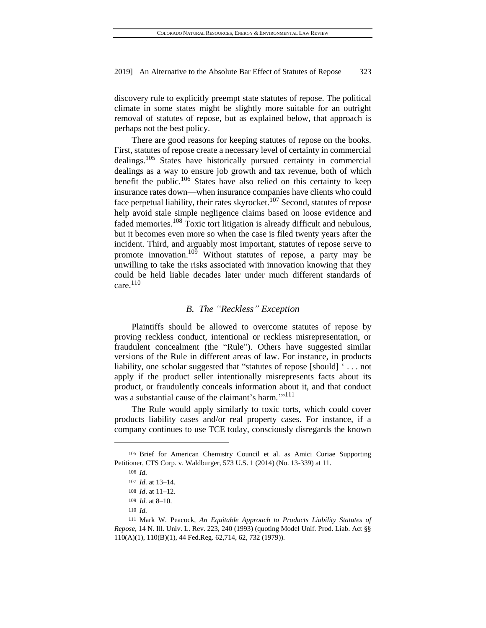discovery rule to explicitly preempt state statutes of repose. The political climate in some states might be slightly more suitable for an outright removal of statutes of repose, but as explained below, that approach is perhaps not the best policy.

There are good reasons for keeping statutes of repose on the books. First, statutes of repose create a necessary level of certainty in commercial dealings.<sup>105</sup> States have historically pursued certainty in commercial dealings as a way to ensure job growth and tax revenue, both of which benefit the public.<sup>106</sup> States have also relied on this certainty to keep insurance rates down—when insurance companies have clients who could face perpetual liability, their rates skyrocket.<sup>107</sup> Second, statutes of repose help avoid stale simple negligence claims based on loose evidence and faded memories.<sup>108</sup> Toxic tort litigation is already difficult and nebulous, but it becomes even more so when the case is filed twenty years after the incident. Third, and arguably most important, statutes of repose serve to promote innovation.<sup>109</sup> Without statutes of repose, a party may be unwilling to take the risks associated with innovation knowing that they could be held liable decades later under much different standards of care. $110$ 

### *B. The "Reckless" Exception*

Plaintiffs should be allowed to overcome statutes of repose by proving reckless conduct, intentional or reckless misrepresentation, or fraudulent concealment (the "Rule"). Others have suggested similar versions of the Rule in different areas of law. For instance, in products liability, one scholar suggested that "statutes of repose [should] ' . . . not apply if the product seller intentionally misrepresents facts about its product, or fraudulently conceals information about it, and that conduct was a substantial cause of the claimant's harm."<sup>111</sup>

The Rule would apply similarly to toxic torts, which could cover products liability cases and/or real property cases. For instance, if a company continues to use TCE today, consciously disregards the known

<sup>105</sup> Brief for American Chemistry Council et al. as Amici Curiae Supporting Petitioner, CTS Corp. v. Waldburger, 573 U.S. 1 (2014) (No. 13-339) at 11.

<sup>106</sup> *Id.*

<sup>107</sup> *Id.* at 13–14.

<sup>108</sup> *Id*. at 11–12.

<sup>109</sup> *Id.* at 8–10.

<sup>110</sup> *Id.*

<sup>111</sup> Mark W. Peacock, *An Equitable Approach to Products Liability Statutes of Repose*, 14 N. Ill. Univ. L. Rev. 223, 240 (1993) (quoting Model Unif. Prod. Liab. Act §§ 110(A)(1), 110(B)(1), 44 Fed.Reg. 62,714, 62, 732 (1979)).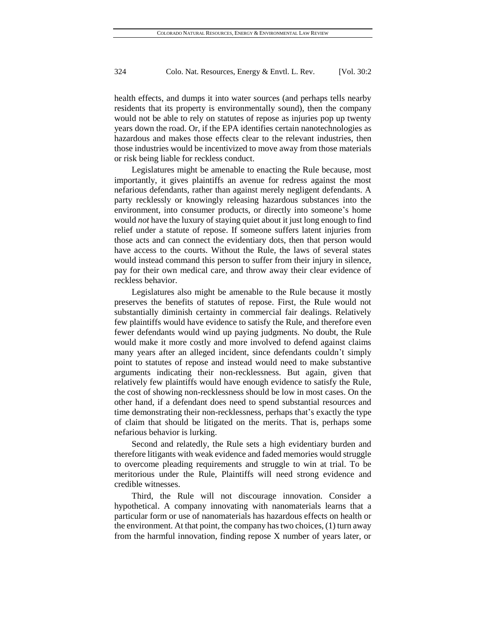health effects, and dumps it into water sources (and perhaps tells nearby residents that its property is environmentally sound), then the company would not be able to rely on statutes of repose as injuries pop up twenty years down the road. Or, if the EPA identifies certain nanotechnologies as hazardous and makes those effects clear to the relevant industries, then those industries would be incentivized to move away from those materials or risk being liable for reckless conduct.

Legislatures might be amenable to enacting the Rule because, most importantly, it gives plaintiffs an avenue for redress against the most nefarious defendants, rather than against merely negligent defendants. A party recklessly or knowingly releasing hazardous substances into the environment, into consumer products, or directly into someone's home would *not* have the luxury of staying quiet about it just long enough to find relief under a statute of repose. If someone suffers latent injuries from those acts and can connect the evidentiary dots, then that person would have access to the courts. Without the Rule, the laws of several states would instead command this person to suffer from their injury in silence, pay for their own medical care, and throw away their clear evidence of reckless behavior.

Legislatures also might be amenable to the Rule because it mostly preserves the benefits of statutes of repose. First, the Rule would not substantially diminish certainty in commercial fair dealings. Relatively few plaintiffs would have evidence to satisfy the Rule, and therefore even fewer defendants would wind up paying judgments. No doubt, the Rule would make it more costly and more involved to defend against claims many years after an alleged incident, since defendants couldn't simply point to statutes of repose and instead would need to make substantive arguments indicating their non-recklessness. But again, given that relatively few plaintiffs would have enough evidence to satisfy the Rule, the cost of showing non-recklessness should be low in most cases. On the other hand, if a defendant does need to spend substantial resources and time demonstrating their non-recklessness, perhaps that's exactly the type of claim that should be litigated on the merits. That is, perhaps some nefarious behavior is lurking.

Second and relatedly, the Rule sets a high evidentiary burden and therefore litigants with weak evidence and faded memories would struggle to overcome pleading requirements and struggle to win at trial. To be meritorious under the Rule, Plaintiffs will need strong evidence and credible witnesses.

Third, the Rule will not discourage innovation. Consider a hypothetical. A company innovating with nanomaterials learns that a particular form or use of nanomaterials has hazardous effects on health or the environment. At that point, the company has two choices, (1) turn away from the harmful innovation, finding repose X number of years later, or